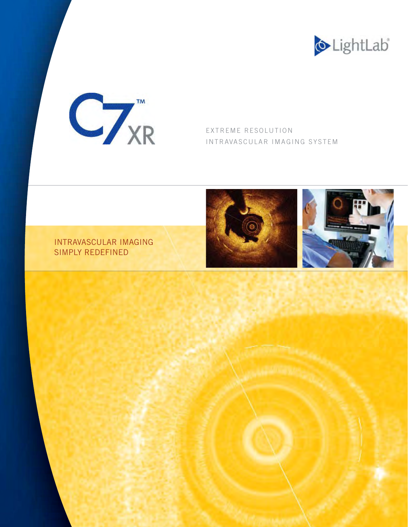



EXTREME RESOLUTION INTRAVASCULAR IMAGING SYSTEM





# **INTRAVASCULAR IMAGING SIMPLY REDEFINED**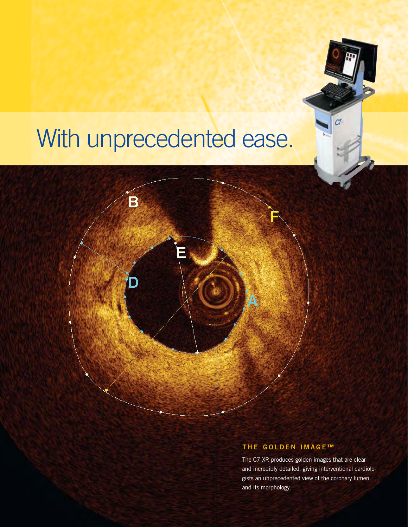

# With unprecedented ease.

B



The C7-XR produces golden images that are clear and incredibly detailed, giving interventional cardiologists an unprecedented view of the coronary lumen and its morphology.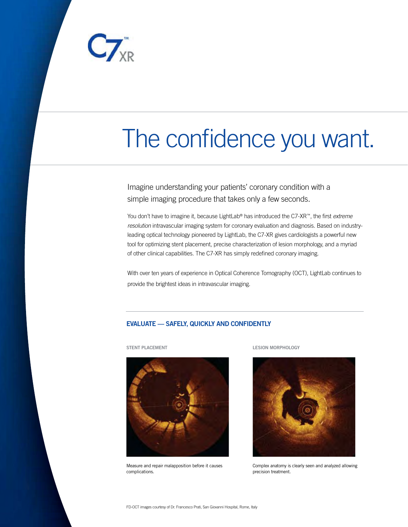

# The confidence you want.

Imagine understanding your patients' coronary condition with a simple imaging procedure that takes only a few seconds.

You don't have to imagine it, because LightLab® has introduced the C7-XR™, the first *extreme resolution* intravascular imaging system for coronary evaluation and diagnosis. Based on industryleading optical technology pioneered by LightLab, the C7-XR gives cardiologists a powerful new tool for optimizing stent placement, precise characterization of lesion morphology, and a myriad of other clinical capabilities. The C7-XR has simply redefined coronary imaging.

With over ten years of experience in Optical Coherence Tomography (OCT), LightLab continues to provide the brightest ideas in intravascular imaging.

### **Evaluate — safely, quickly and confidently**

**Stent Placement**



Measure and repair malapposition before it causes complications.

**Lesion Morphology**



Complex anatomy is clearly seen and analyzed allowing precision treatment.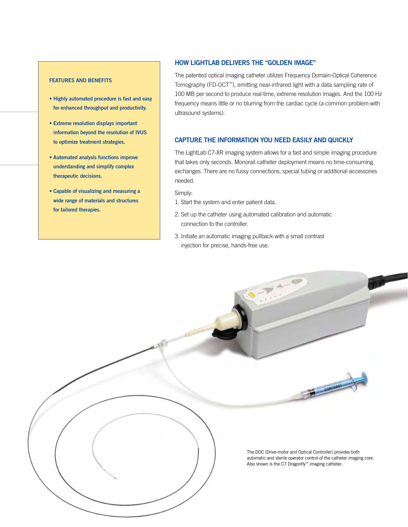#### **Features and benefits**

- **Highly automated procedure is fast and easy for enhanced throughput and productivity.**
- **Extreme resolution displays important information beyond the resolution of IVUS to optimize treatment strategies.**
- **Automated analysis functions improve understanding and simplify complex therapeutic decisions.**
- **Capable of visualizing and measuring a wide range of materials and structures for tailored therapies.**

#### **How lightlab delivers the "Golden Image"**

The patented optical imaging catheter utilizes Frequency Domain-Optical Coherence Tomography (FD-OCT™), emitting near-infrared light with a data sampling rate of 100 MB per second to produce real-time, extreme resolution images. And the 100 Hz frequency means little or no blurring from the cardiac cycle (a common problem with ultrasound systems).

#### **Capture the information you need easily and quickly**

The LightLab C7-XR imaging system allows for a fast and simple imaging procedure that takes only seconds. Monorail catheter deployment means no time-consuming exchanges. There are no fussy connections, special tubing or additional accessories needed.

Simply:

- 1. Start the system and enter patient data.
- 2. Set up the catheter using automated calibration and automatic connection to the controller.
- 3. Initiate an automatic imaging pullback with a small contrast injection for precise, hands-free use.

The DOC (Drive-motor and Optical Controller) provides both automatic and sterile operator control of the catheter imaging core. Also shown is the C7 Dragonfly™ imaging catheter.

CONTRAST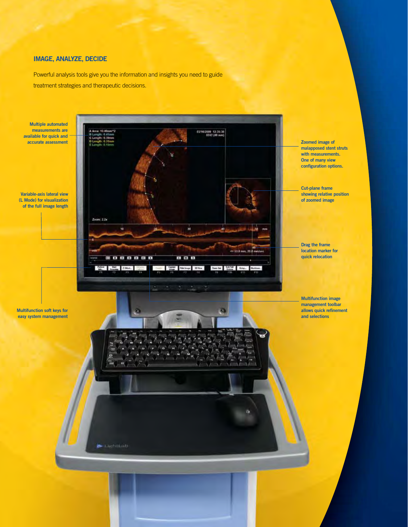### **IMage, analyze, decide**

Powerful analysis tools give you the information and insights you need to guide treatment strategies and therapeutic decisions.